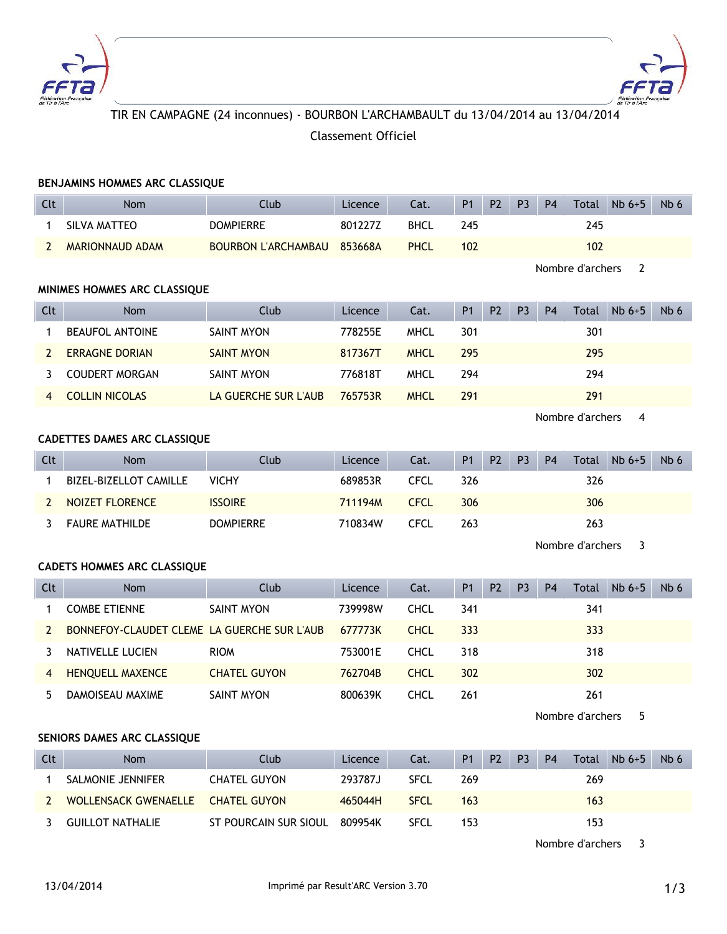



# TIR EN CAMPAGNE (24 inconnues) - BOURBON L'ARCHAMBAULT du 13/04/2014 au 13/04/2014 Classement Officiel

|              | BENJAMINS HOMMES ARC CLASSIQUE              |                            |         |             |                |                |                |                |                  |          |                 |
|--------------|---------------------------------------------|----------------------------|---------|-------------|----------------|----------------|----------------|----------------|------------------|----------|-----------------|
| Clt          | <b>Nom</b>                                  | Club                       | Licence | Cat.        | P <sub>1</sub> | P <sub>2</sub> | P <sub>3</sub> | <b>P4</b>      | Total            | $Nb 6+5$ | Nb <sub>6</sub> |
| $\mathbf{1}$ | <b>SILVA MATTEO</b>                         | <b>DOMPIERRE</b>           | 801227Z | <b>BHCL</b> | 245            |                |                |                | 245              |          |                 |
| $\mathbf{2}$ | <b>MARIONNAUD ADAM</b>                      | <b>BOURBON L'ARCHAMBAU</b> | 853668A | <b>PHCL</b> | 102            |                |                |                | 102              |          |                 |
|              |                                             |                            |         |             |                |                |                |                | Nombre d'archers | 2        |                 |
|              | MINIMES HOMMES ARC CLASSIQUE                |                            |         |             |                |                |                |                |                  |          |                 |
| Clt          | Nom                                         | Club                       | Licence | Cat.        | <b>P1</b>      | P2             | P <sub>3</sub> | <b>P4</b>      | Total            | $Nb6+5$  | Nb 6            |
| 1            | <b>BEAUFOL ANTOINE</b>                      | <b>SAINT MYON</b>          | 778255E | <b>MHCL</b> | 301            |                |                |                | 301              |          |                 |
| 2            | <b>ERRAGNE DORIAN</b>                       | <b>SAINT MYON</b>          | 817367T | <b>MHCL</b> | 295            |                |                |                | 295              |          |                 |
| 3            | <b>COUDERT MORGAN</b>                       | <b>SAINT MYON</b>          | 776818T | <b>MHCL</b> | 294            |                |                |                | 294              |          |                 |
| 4            | <b>COLLIN NICOLAS</b>                       | LA GUERCHE SUR L'AUB       | 765753R | <b>MHCL</b> | 291            |                |                |                | 291              |          |                 |
|              |                                             |                            |         |             |                |                |                |                | Nombre d'archers | 4        |                 |
|              | CADETTES DAMES ARC CLASSIQUE                |                            |         |             |                |                |                |                |                  |          |                 |
| <b>Clt</b>   | Nom                                         | Club                       | Licence | Cat.        | P1             | P <sub>2</sub> | P <sub>3</sub> | P <sub>4</sub> | Total            | $Nb6+5$  | Nb 6            |
| $\mathbf 1$  | BIZEL-BIZELLOT CAMILLE                      | <b>VICHY</b>               | 689853R | <b>CFCL</b> | 326            |                |                |                | 326              |          |                 |
| $\mathbf{2}$ | <b>NOIZET FLORENCE</b>                      | <b>ISSOIRE</b>             | 711194M | <b>CFCL</b> | 306            |                |                |                | 306              |          |                 |
| 3            | <b>FAURE MATHILDE</b>                       | <b>DOMPIERRE</b>           | 710834W | <b>CFCL</b> | 263            |                |                |                | 263              |          |                 |
|              |                                             |                            |         |             |                |                |                |                | Nombre d'archers | 3        |                 |
|              | <b>CADETS HOMMES ARC CLASSIQUE</b>          |                            |         |             |                |                |                |                |                  |          |                 |
| <b>Clt</b>   | Nom                                         | Club                       | Licence | Cat.        | <b>P1</b>      | P <sub>2</sub> | P <sub>3</sub> | <b>P4</b>      | Total            | $Nb6+5$  | Nb 6            |
| 1            | <b>COMBE ETIENNE</b>                        | <b>SAINT MYON</b>          | 739998W | <b>CHCL</b> | 341            |                |                |                | 341              |          |                 |
| $\mathbf{2}$ | BONNEFOY-CLAUDET CLEME LA GUERCHE SUR L'AUB |                            | 677773K | <b>CHCL</b> | 333            |                |                |                | 333              |          |                 |
| 3            | NATIVELLE LUCIEN                            | <b>RIOM</b>                | 753001E | <b>CHCL</b> | 318            |                |                |                | 318              |          |                 |
| 4            | <b>HENQUELL MAXENCE</b>                     | <b>CHATEL GUYON</b>        | 762704B | <b>CHCL</b> | 302            |                |                |                | 302              |          |                 |
| 5.           | DAMOISEAU MAXIME                            | <b>SAINT MYON</b>          | 800639K | <b>CHCL</b> | 261            |                |                |                | 261              |          |                 |
|              |                                             |                            |         |             |                |                |                |                | Nombre d'archers | 5        |                 |
|              | SENIORS DAMES ARC CLASSIQUE                 |                            |         |             |                |                |                |                |                  |          |                 |
| Clt          | Nom                                         | Club                       | Licence | Cat.        | P1             | P <sub>2</sub> | P <sub>3</sub> | <b>P4</b>      | Total            | $Nb6+5$  | Nb <sub>6</sub> |
| 1            | SALMONIE JENNIFER                           | <b>CHATEL GUYON</b>        | 293787J | <b>SFCL</b> | 269            |                |                |                | 269              |          |                 |
| 2            | <b>WOLLENSACK GWENAELLE</b>                 | <b>CHATEL GUYON</b>        | 465044H | <b>SFCL</b> | 163            |                |                |                | 163              |          |                 |
| 3            | <b>GUILLOT NATHALIE</b>                     | ST POURCAIN SUR SIOUL      | 809954K | <b>SFCL</b> | 153            |                |                |                | 153              |          |                 |
|              |                                             |                            |         |             |                |                |                |                |                  |          |                 |

Nombre d'archers 3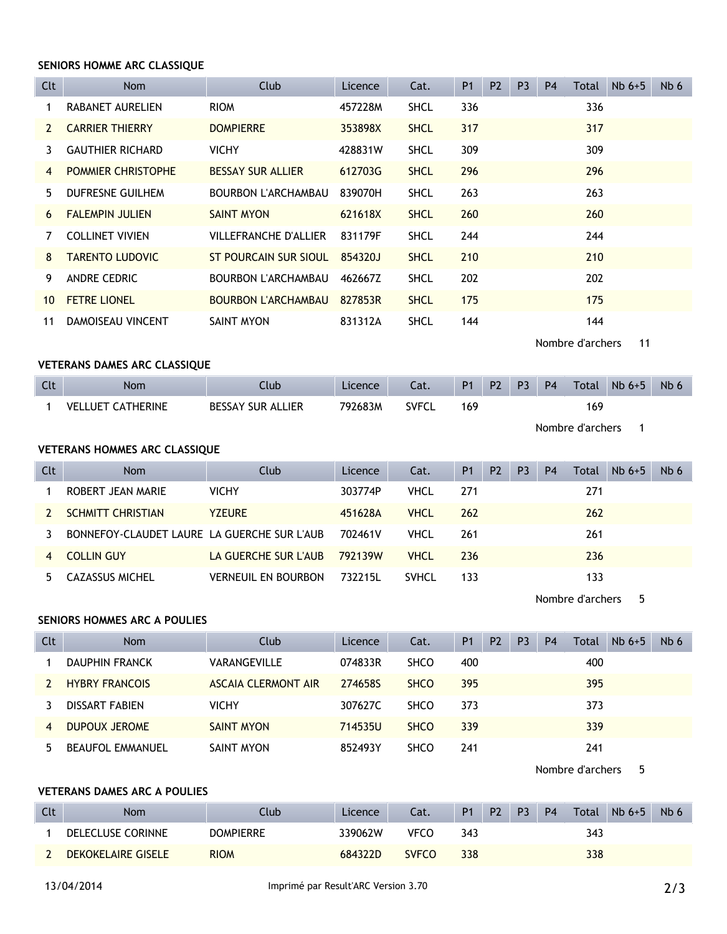#### **SENIORS HOMME ARC CLASSIQUE**

| Clt             | Nom                       | Club                         | Licence | Cat.        | <b>P1</b> | P <sub>2</sub> | P <sub>3</sub> | <b>P4</b> | Total | $Nb6+5$ | N <sub>b</sub> 6 |
|-----------------|---------------------------|------------------------------|---------|-------------|-----------|----------------|----------------|-----------|-------|---------|------------------|
|                 | RABANET AURELIEN          | <b>RIOM</b>                  | 457228M | <b>SHCL</b> | 336       |                |                |           | 336   |         |                  |
| $\mathcal{P}$   | <b>CARRIER THIERRY</b>    | <b>DOMPIERRE</b>             | 353898X | <b>SHCL</b> | 317       |                |                |           | 317   |         |                  |
| 3.              | <b>GAUTHIER RICHARD</b>   | <b>VICHY</b>                 | 428831W | <b>SHCL</b> | 309       |                |                |           | 309   |         |                  |
| $\overline{4}$  | <b>POMMIER CHRISTOPHE</b> | <b>BESSAY SUR ALLIER</b>     | 612703G | <b>SHCL</b> | 296       |                |                |           | 296   |         |                  |
| 5.              | DUFRESNE GUILHEM          | BOURBON L'ARCHAMBAU          | 839070H | <b>SHCL</b> | 263       |                |                |           | 263   |         |                  |
| 6               | <b>FALEMPIN JULIEN</b>    | <b>SAINT MYON</b>            | 621618X | <b>SHCL</b> | 260       |                |                |           | 260   |         |                  |
|                 | <b>COLLINET VIVIEN</b>    | <b>VILLEFRANCHE D'ALLIER</b> | 831179F | <b>SHCL</b> | 244       |                |                |           | 244   |         |                  |
| 8               | <b>TARENTO LUDOVIC</b>    | ST POURCAIN SUR SIOUL        | 854320J | <b>SHCL</b> | 210       |                |                |           | 210   |         |                  |
| 9               | ANDRE CEDRIC              | <b>BOURBON L'ARCHAMBAU</b>   | 462667Z | <b>SHCL</b> | 202       |                |                |           | 202   |         |                  |
| 10 <sup>1</sup> | <b>FETRE LIONEL</b>       | <b>BOURBON L'ARCHAMBAU</b>   | 827853R | <b>SHCL</b> | 175       |                |                |           | 175   |         |                  |
| 11              | DAMOISEAU VINCENT         | SAINT MYON                   | 831312A | <b>SHCL</b> | 144       |                |                |           | 144   |         |                  |

Nombre d'archers 11

#### **VETERANS DAMES ARC CLASSIQUE**

| Clt | Nom                      | Club                     | Licence | Cat.         | P <sub>1</sub> | <b>P2</b> | P3 | P <sub>4</sub> | <b>Total</b> | $Nb6+5$ | N <sub>b</sub> c |
|-----|--------------------------|--------------------------|---------|--------------|----------------|-----------|----|----------------|--------------|---------|------------------|
|     | <b>VELLUET CATHERINE</b> | <b>BESSAY SUR ALLIER</b> | 792683M | <b>SVFCL</b> | 169            |           |    |                | 169          |         |                  |

Nombre d'archers 1

### **VETERANS HOMMES ARC CLASSIQUE**

| Clt              | <b>Nom</b>                                  | Club                 | Licence | Cat.         | <b>P1</b> | P <sub>2</sub> | P <sub>3</sub> | <b>P4</b> | <b>Total</b> | $Nb6+5$ | Nb 6 |
|------------------|---------------------------------------------|----------------------|---------|--------------|-----------|----------------|----------------|-----------|--------------|---------|------|
|                  | ROBERT JEAN MARIE                           | <b>VICHY</b>         | 303774P | <b>VHCL</b>  | 271       |                |                |           | 271          |         |      |
|                  | <b>SCHMITT CHRISTIAN</b>                    | <b>YZEURE</b>        | 451628A | <b>VHCL</b>  | 262       |                |                |           | 262          |         |      |
|                  | BONNEFOY-CLAUDET LAURE LA GUERCHE SUR L'AUB |                      | 702461V | <b>VHCL</b>  | 261       |                |                |           | 261          |         |      |
| $\boldsymbol{A}$ | <b>COLLIN GUY</b>                           | LA GUERCHE SUR L'AUB | 792139W | <b>VHCL</b>  | 236       |                |                |           | 236          |         |      |
|                  | CAZASSUS MICHEL                             | VERNEUIL EN BOURBON  | 732215L | <b>SVHCL</b> | 133       |                |                |           | 133          |         |      |

Nombre d'archers 5

## **SENIORS HOMMES ARC A POULIES**

| Clt | <b>Nom</b>              | Club                       | Licence | Cat.        | <b>P1</b> | P <sub>2</sub> | P <sub>3</sub> | P <sub>4</sub> | Total | $Nb6+5$ | Nb 6 |
|-----|-------------------------|----------------------------|---------|-------------|-----------|----------------|----------------|----------------|-------|---------|------|
|     | DAUPHIN FRANCK          | VARANGEVILLE               | 074833R | <b>SHCO</b> | 400       |                |                |                | 400   |         |      |
|     | <b>HYBRY FRANCOIS</b>   | <b>ASCAIA CLERMONT AIR</b> | 2746585 | <b>SHCO</b> | 395       |                |                |                | 395   |         |      |
|     | DISSART FABIEN          | <b>VICHY</b>               | 307627C | <b>SHCO</b> | 373       |                |                |                | 373   |         |      |
| 4   | DUPOUX JEROME           | <b>SAINT MYON</b>          | 714535U | <b>SHCO</b> | 339       |                |                |                | 339   |         |      |
| 5   | <b>BEAUFOL EMMANUEL</b> | SAINT MYON                 | 852493Y | <b>SHCO</b> | 241       |                |                |                | 241   |         |      |

Nombre d'archers 5

# **VETERANS DAMES ARC A POULIES**

| Clt | Nom                      | <b>Nub</b>       | Licence | Cat.         | P <sub>1</sub> | P <sub>2</sub> | P <sub>3</sub> | <b>P4</b> | Total | $Nb6+5$ | N <sub>b</sub> 6 |
|-----|--------------------------|------------------|---------|--------------|----------------|----------------|----------------|-----------|-------|---------|------------------|
|     | <b>DELECLUSE CORINNE</b> | <b>DOMPIERRE</b> | 339062W | <b>VFCO</b>  | 343            |                |                |           | 343   |         |                  |
|     | DEKOKELAIRE GISELE       | <b>RIOM</b>      | 684322D | <b>SVFCO</b> | 338            |                |                |           | 338   |         |                  |